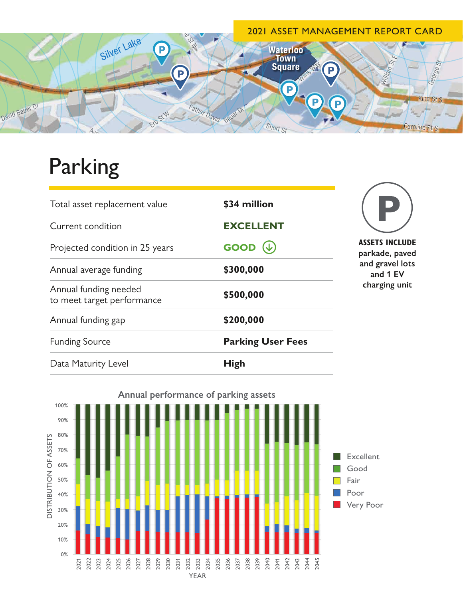

## Parking

| Total asset replacement value                       | \$34 million             | <b>ASSETS INCLUDE</b><br>parkade, paved<br>and gravel lots<br>and 1 EV<br>charging unit |
|-----------------------------------------------------|--------------------------|-----------------------------------------------------------------------------------------|
| Current condition                                   | <b>EXCELLENT</b>         |                                                                                         |
| Projected condition in 25 years                     | $GOOD (\downarrow)$      |                                                                                         |
| Annual average funding                              | \$300,000                |                                                                                         |
| Annual funding needed<br>to meet target performance | \$500,000                |                                                                                         |
| Annual funding gap                                  | \$200,000                |                                                                                         |
| <b>Funding Source</b>                               | <b>Parking User Fees</b> |                                                                                         |
| Data Maturity Level                                 | <b>High</b>              |                                                                                         |



**Annual performance of parking assets**